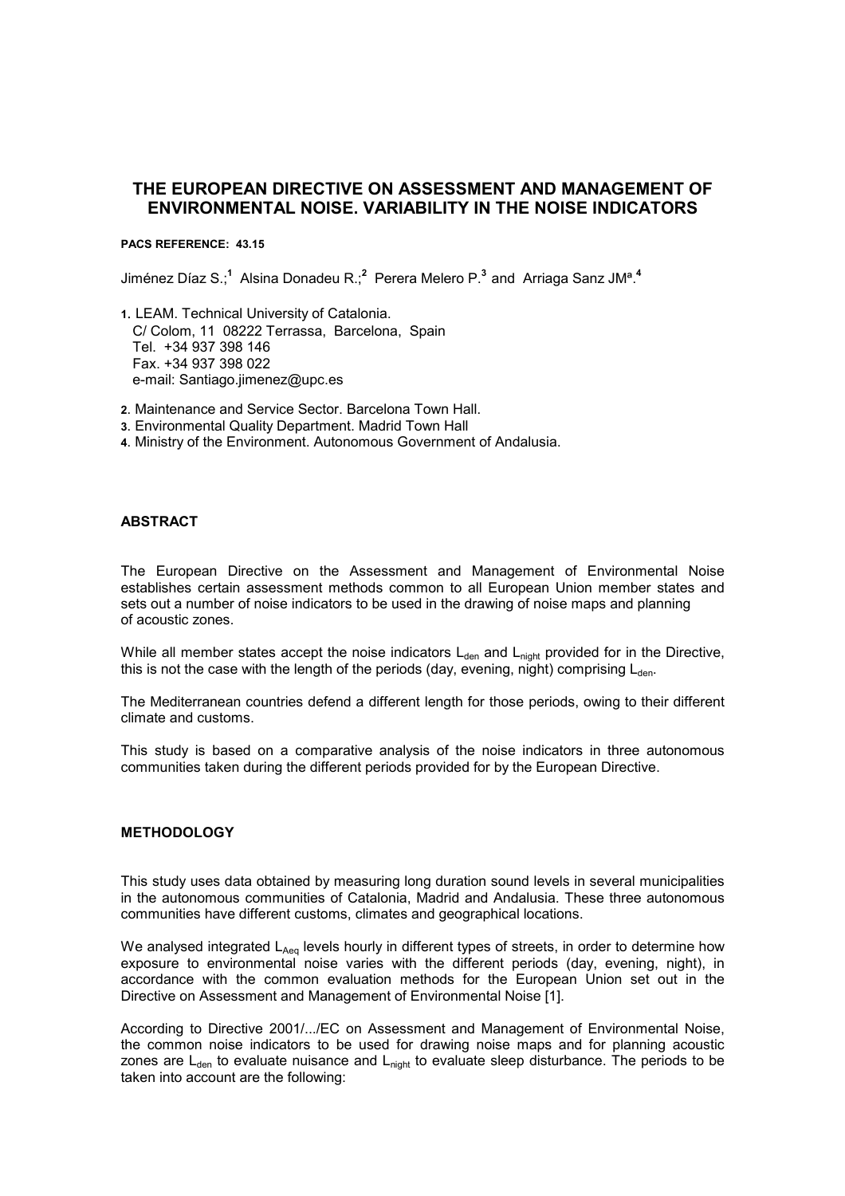# **THE EUROPEAN DIRECTIVE ON ASSESSMENT AND MANAGEMENT OF ENVIRONMENTAL NOISE. VARIABILITY IN THE NOISE INDICATORS**

#### **PACS REFERENCE: 43.15**

Jiménez Díaz S.;**<sup>1</sup>** Alsina Donadeu R.;**<sup>2</sup>** Perera Melero P.**<sup>3</sup>**andArriaga Sanz JMª.**<sup>4</sup>**

- **<sup>1</sup>**. LEAM. Technical University of Catalonia. C/ Colom, 11 08222 Terrassa, Barcelona, Spain Tel. +34 937 398 146 Fax. +34 937 398 022 e-mail: Santiago.jimenez@upc.es
- **2**. Maintenance and Service Sector. Barcelona Town Hall.
- **3**. Environmental Quality Department. Madrid Town Hall
- **4**. Ministry of the Environment. Autonomous Government of Andalusia.

### **ABSTRACT**

The European Directive on the Assessment and Management of Environmental Noise establishes certain assessment methods common to all European Union member states and sets out a number of noise indicators to be used in the drawing of noise maps and planning of acoustic zones.

While all member states accept the noise indicators  $L_{den}$  and  $L_{night}$  provided for in the Directive, this is not the case with the length of the periods (day, evening, night) comprising  $L_{den}$ .

The Mediterranean countries defend a different length for those periods, owing to their different climate and customs.

This study is based on a comparative analysis of the noise indicators in three autonomous communities taken during the different periods provided for by the European Directive.

### **METHODOLOGY**

This study uses data obtained by measuring long duration sound levels in several municipalities in the autonomous communities of Catalonia, Madrid and Andalusia. These three autonomous communities have different customs, climates and geographical locations.

We analysed integrated  $L_{Aeq}$  levels hourly in different types of streets, in order to determine how exposure to environmental noise varies with the different periods (day, evening, night), in accordance with the common evaluation methods for the European Union set out in the Directive on Assessment and Management of Environmental Noise [1].

According to Directive 2001/.../EC on Assessment and Management of Environmental Noise, the common noise indicators to be used for drawing noise maps and for planning acoustic zones are  $L_{den}$  to evaluate nuisance and  $L_{night}$  to evaluate sleep disturbance. The periods to be taken into account are the following: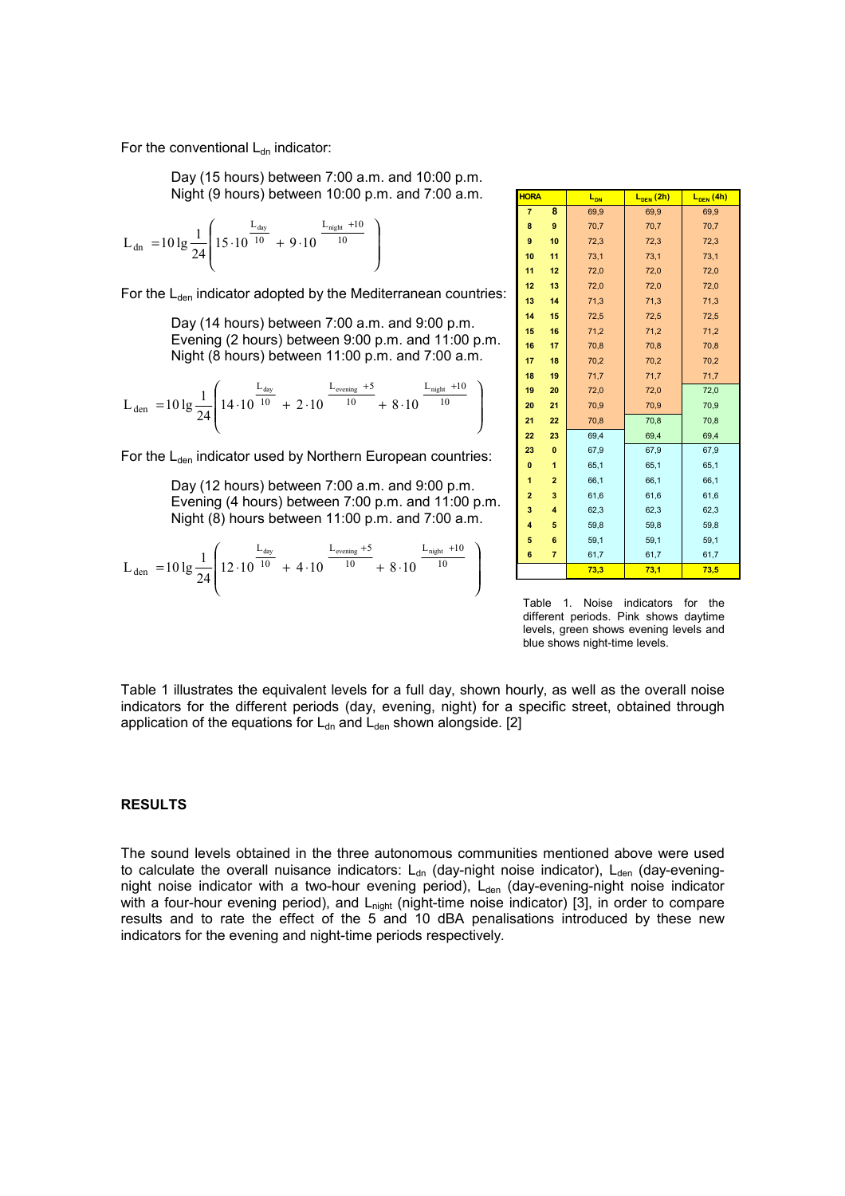For the conventional  $L_{dn}$  indicator:

Day (15 hours) between 7:00 a.m. and 10:00 p.m. Night (9 hours) between 10:00 p.m. and 7:00 a.m.

$$
L_{dn} = 10 \lg \frac{1}{24} \left( 15 \cdot 10^{\frac{L_{day}}{10}} + 9 \cdot 10^{\frac{L_{night} + 10}{10}} \right)
$$

For the  $L_{den}$  indicator adopted by the Mediterranean countries:

Day (14 hours) between 7:00 a.m. and 9:00 p.m. Evening (2 hours) between 9:00 p.m. and 11:00 p.m. Night (8 hours) between 11:00 p.m. and 7:00 a.m.

$$
L_{den} = 10 \lg \frac{1}{24} \left( 14 \cdot 10^{\frac{L_{day}}{10}} + 2 \cdot 10^{\frac{L_{evening} + 5}{10}} + 8 \cdot 10^{\frac{L_{night} + 10}{10}} \right)
$$

For the  $L_{den}$  indicator used by Northern European countries:

Day (12 hours) between 7:00 a.m. and 9:00 p.m. Evening (4 hours) between 7:00 p.m. and 11:00 p.m. Night (8) hours between 11:00 p.m. and 7:00 a.m.

$$
L_{den} = 10 \lg \frac{1}{24} \left( 12 \cdot 10^{\frac{L_{day}}{10}} + 4 \cdot 10^{\frac{L_{evening} + 5}{10}} + 8 \cdot 10^{\frac{L_{night} + 10}{10}} \right)
$$

| <b>HORA</b>    |                | L <sub>DN</sub> | $L_{DEN}$ (2h) | $L_{\overline{\textrm{DEN}}}(4h)$ |
|----------------|----------------|-----------------|----------------|-----------------------------------|
| $\overline{7}$ | 8              | 69,9            | 69,9           | 69,9                              |
| 8              | 9              | 70,7            | 70,7           | 70,7                              |
| 9              | 10             | 72,3            | 72,3           | 72,3                              |
| 10             | 11             | 73,1            | 73,1           | 73,1                              |
| 11             | 12             | 72,0            | 72,0           | 72,0                              |
| 12             | 13             | 72,0            | 72,0           | 72,0                              |
| 13             | 14             | 71,3            | 71,3           | 71,3                              |
| 14             | 15             | 72,5            | 72,5           | 72,5                              |
| 15             | 16             | 71,2            | 71,2           | 71,2                              |
| 16             | 17             | 70,8            | 70,8           | 70,8                              |
| 17             | 18             | 70,2            | 70,2           | 70,2                              |
| 18             | 19             | 71,7            | 71,7           | 71,7                              |
| 19             | 20             | 72,0            | 72,0           | 72,0                              |
| 20             | 21             | 70,9            | 70,9           | 70,9                              |
| 21             | 22             | 70,8            | 70,8           | 70,8                              |
| 22             | 23             | 69,4            | 69,4           | 69,4                              |
| 23             | $\bf{0}$       | 67,9            | 67,9           | 67,9                              |
| $\bf{0}$       | 1              | 65,1            | 65,1           | 65,1                              |
| 1              | $\overline{2}$ | 66,1            | 66,1           | 66,1                              |
| $\overline{2}$ | 3              | 61,6            | 61,6           | 61,6                              |
| 3              | 4              | 62,3            | 62,3           | 62,3                              |
| 4              | 5              | 59,8            | 59,8           | 59,8                              |
| 5              | 6              | 59,1            | 59,1           | 59,1                              |
| 6              | $\overline{7}$ | 61,7            | 61,7           | 61,7                              |
|                |                | 73,3            | 73,1           | 73,5                              |

Table 1. Noise indicators for the different periods. Pink shows daytime levels, green shows evening levels and blue shows night-time levels.

Table 1 illustrates the equivalent levels for a full day, shown hourly, as well as the overall noise indicators for the different periods (day, evening, night) for a specific street, obtained through application of the equations for  $L_{dn}$  and  $L_{den}$  shown alongside. [2]

### **RESULTS**

The sound levels obtained in the three autonomous communities mentioned above were used to calculate the overall nuisance indicators:  $L_{dn}$  (day-night noise indicator),  $L_{den}$  (day-eveningnight noise indicator with a two-hour evening period), L<sub>den</sub> (day-evening-night noise indicator with a four-hour evening period), and L<sub>night</sub> (night-time noise indicator) [3], in order to compare results and to rate the effect of the 5 and 10 dBA penalisations introduced by these new indicators for the evening and night-time periods respectively.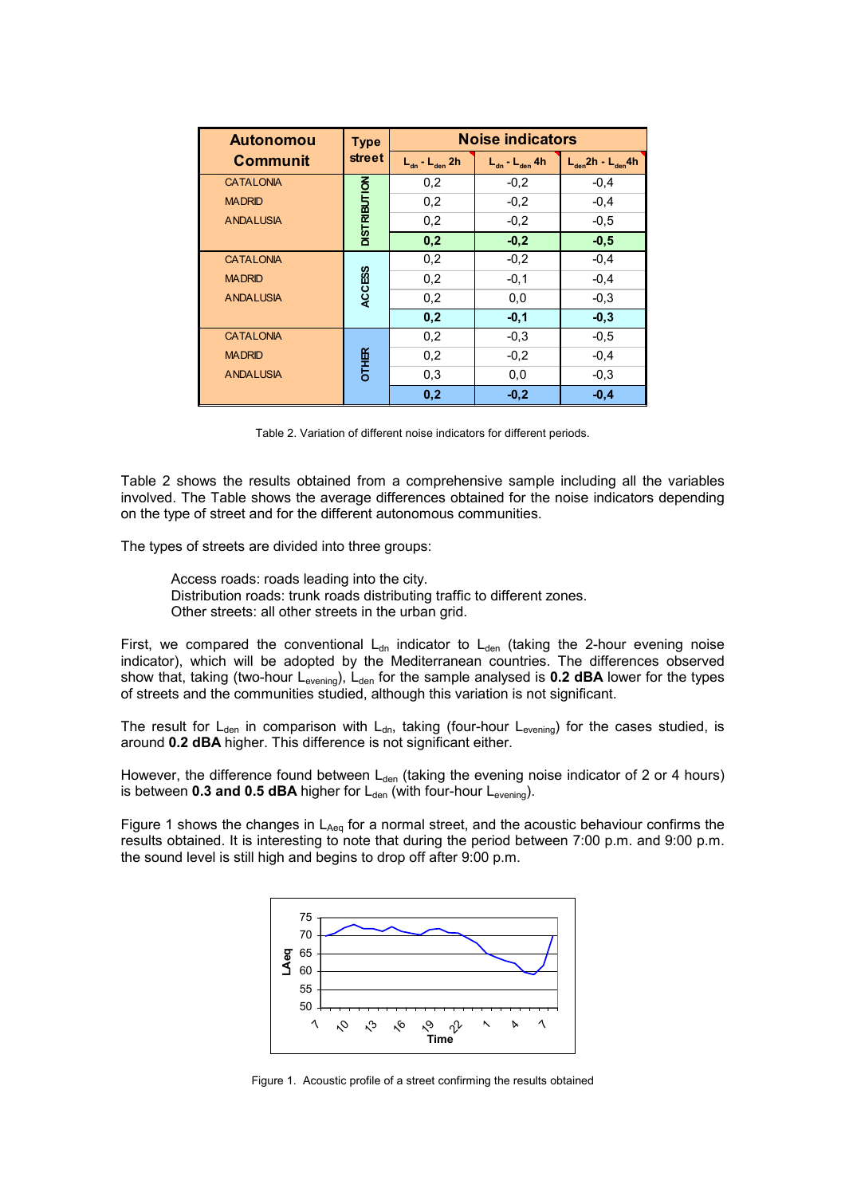| <b>Autonomou</b> | <b>Type</b><br><b>street</b> | <b>Noise indicators</b>                     |                                             |                             |
|------------------|------------------------------|---------------------------------------------|---------------------------------------------|-----------------------------|
| <b>Communit</b>  |                              | $L_{_{\text{dn}}}$ - $L_{_{\text{den}}}$ 2h | $L_{_{\text{dn}}}$ - $L_{_{\text{den}}}$ 4h | $L_{den}$ 2h - $L_{den}$ 4h |
| <b>CATALONIA</b> |                              | 0,2                                         | $-0,2$                                      | $-0,4$                      |
| <b>MADRID</b>    |                              | 0,2                                         | $-0,2$                                      | $-0,4$                      |
| <b>ANDALUSIA</b> | <b>DISTRIBUTION</b>          | 0,2                                         | $-0,2$                                      | $-0.5$                      |
|                  |                              | 0,2                                         | $-0,2$                                      | $-0,5$                      |
| <b>CATALONIA</b> |                              | 0,2                                         | $-0,2$                                      | $-0,4$                      |
| <b>MADRID</b>    | <b>ACCESS</b>                | 0,2                                         | $-0,1$                                      | $-0,4$                      |
| <b>ANDALUSIA</b> |                              | 0,2                                         | 0,0                                         | $-0,3$                      |
|                  |                              | 0,2                                         | $-0,1$                                      | $-0,3$                      |
| <b>CATALONIA</b> |                              | 0,2                                         | $-0.3$                                      | $-0.5$                      |
| <b>MADRID</b>    | <b>OTHER</b>                 | 0,2                                         | $-0,2$                                      | $-0,4$                      |
| <b>ANDALUSIA</b> |                              | 0,3                                         | 0,0                                         | $-0.3$                      |
|                  |                              | 0,2                                         | $-0,2$                                      | $-0.4$                      |

Table 2. Variation of different noise indicators for different periods.

Table 2 shows the results obtained from a comprehensive sample including all the variables involved. The Table shows the average differences obtained for the noise indicators depending on the type of street and for the different autonomous communities.

The types of streets are divided into three groups:

Access roads: roads leading into the city.

Distribution roads: trunk roads distributing traffic to different zones.

Other streets: all other streets in the urban grid.

First, we compared the conventional  $L_{dn}$  indicator to  $L_{den}$  (taking the 2-hour evening noise indicator), which will be adopted by the Mediterranean countries. The differences observed show that, taking (two-hour L<sub>evening</sub>), L<sub>den</sub> for the sample analysed is 0.2 dBA lower for the types of streets and the communities studied, although this variation is not significant.

The result for  $L_{den}$  in comparison with  $L_{dn}$ , taking (four-hour  $L_{evening}$ ) for the cases studied, is around **0.2 dBA** higher. This difference is not significant either.

However, the difference found between  $L_{den}$  (taking the evening noise indicator of 2 or 4 hours) is between **0.3 and 0.5 dBA** higher for  $L_{den}$  (with four-hour  $L_{evening}$ ).

Figure 1 shows the changes in  $L_{Aeq}$  for a normal street, and the acoustic behaviour confirms the results obtained. It is interesting to note that during the period between 7:00 p.m. and 9:00 p.m. the sound level is still high and begins to drop off after 9:00 p.m.



Figure 1. Acoustic profile of a street confirming the results obtained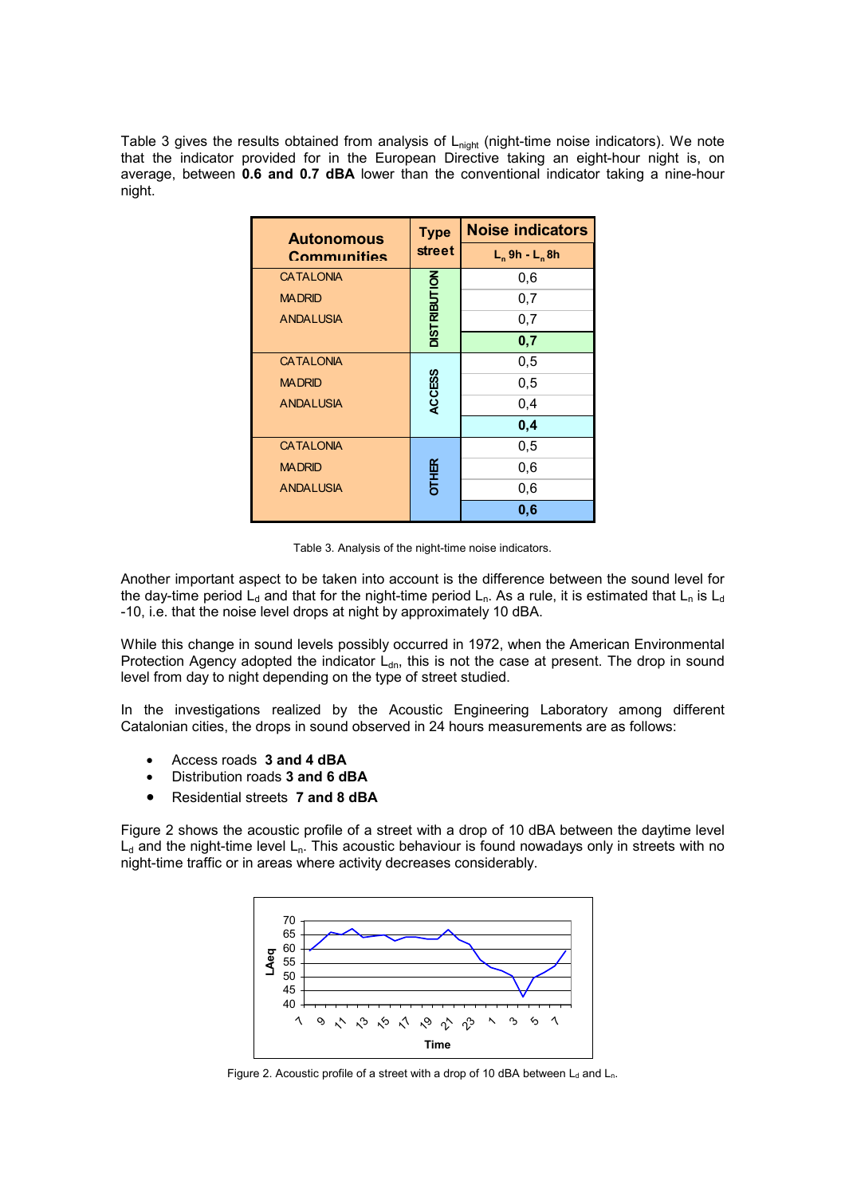Table 3 gives the results obtained from analysis of  $L<sub>nicht</sub>$  (night-time noise indicators). We note that the indicator provided for in the European Directive taking an eight-hour night is, on average, between **0.6 and 0.7 dBA** lower than the conventional indicator taking a nine-hour night.

| <b>Autonomous</b> | <b>Type</b>         | <b>Noise indicators</b> |  |
|-------------------|---------------------|-------------------------|--|
| Communities       | <b>street</b>       | $L_n$ 9h - $L_n$ 8h     |  |
| <b>CATALONIA</b>  |                     | 0,6                     |  |
| <b>MADRID</b>     |                     | 0,7                     |  |
| <b>ANDALUSIA</b>  | <b>DISTRIBUTION</b> | 0,7                     |  |
|                   |                     | 0,7                     |  |
| <b>CATALONIA</b>  |                     | 0,5                     |  |
| <b>MADRID</b>     | <b>ACCESS</b>       | 0,5                     |  |
| <b>ANDALUSIA</b>  |                     | 0,4                     |  |
|                   |                     | 0,4                     |  |
| <b>CATALONIA</b>  |                     | 0,5                     |  |
| <b>MADRID</b>     | <b>OTHER</b>        | 0,6                     |  |
| <b>ANDALUSIA</b>  |                     | 0,6                     |  |
|                   |                     | 0,6                     |  |

Table 3. Analysis of the night-time noise indicators.

Another important aspect to be taken into account is the difference between the sound level for the day-time period L<sub>d</sub> and that for the night-time period L<sub>n</sub>. As a rule, it is estimated that L<sub>n</sub> is L<sub>d</sub> -10, i.e. that the noise level drops at night by approximately 10 dBA.

While this change in sound levels possibly occurred in 1972, when the American Environmental Protection Agency adopted the indicator  $L_{dn}$ , this is not the case at present. The drop in sound level from day to night depending on the type of street studied.

In the investigations realized by the Acoustic Engineering Laboratory among different Catalonian cities, the drops in sound observed in 24 hours measurements are as follows:

- Access roads **3 and 4 dBA**
- Distribution roads **3 and 6 dBA**
- Residential streets **7 and 8 dBA**

Figure 2 shows the acoustic profile of a street with a drop of 10 dBA between the daytime level  $L_d$  and the night-time level  $L_n$ . This acoustic behaviour is found nowadays only in streets with no night-time traffic or in areas where activity decreases considerably.



Figure 2. Acoustic profile of a street with a drop of 10 dBA between  $L_d$  and  $L_n$ .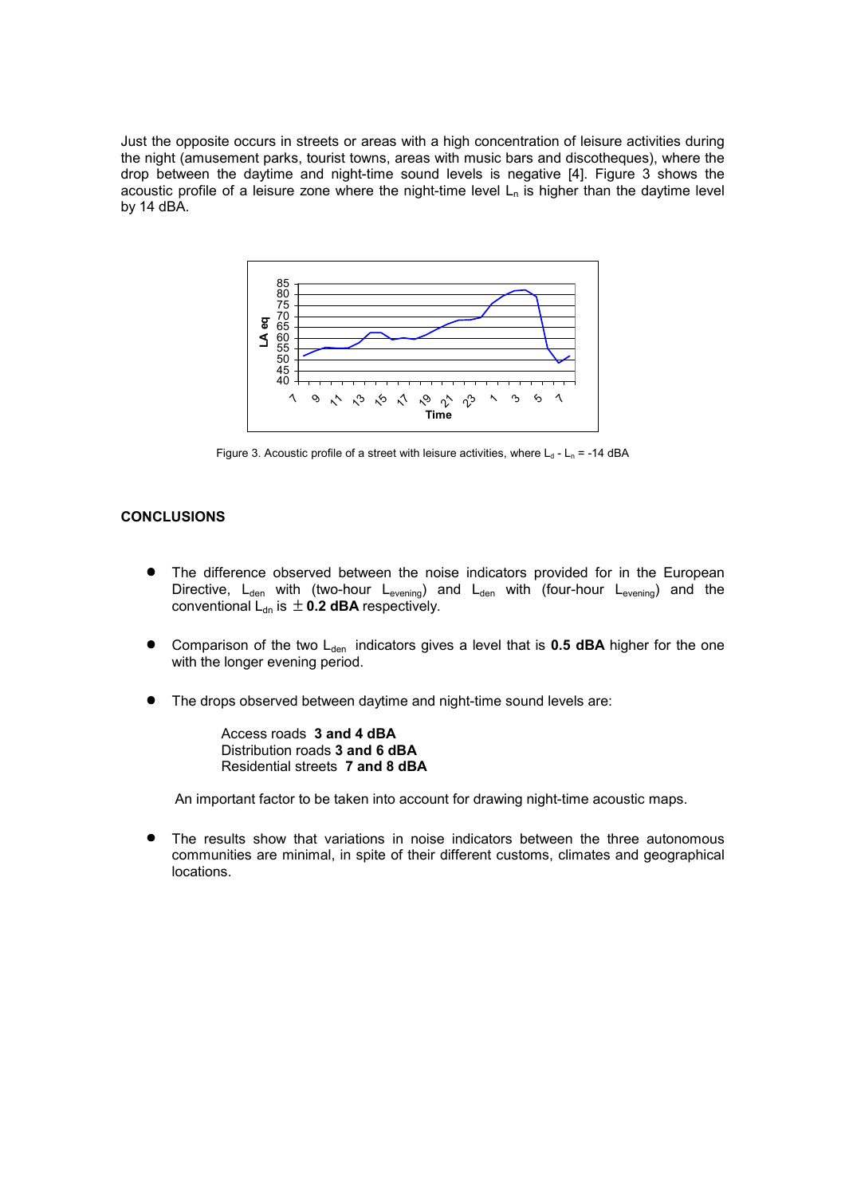Just the opposite occurs in streets or areas with a high concentration of leisure activities during the night (amusement parks, tourist towns, areas with music bars and discotheques), where the drop between the daytime and night-time sound levels is negative [4]. Figure 3 shows the acoustic profile of a leisure zone where the night-time level  $L_n$  is higher than the daytime level by 14 dBA.



Figure 3. Acoustic profile of a street with leisure activities, where  $L_d$  -  $L_n$  = -14 dBA

## **CONCLUSIONS**

- The difference observed between the noise indicators provided for in the European Directive,  $L_{den}$  with (two-hour  $L_{even}$ ) and  $L_{den}$  with (four-hour  $L_{even}$ ) and the conventional  $L_{dn}$  is  $\pm$  0.2 dBA respectively.
- Comparison of the two L<sub>den</sub> indicators gives a level that is **0.5 dBA** higher for the one with the longer evening period.
- The drops observed between daytime and night-time sound levels are:

Access roads **3 and 4 dBA**  Distribution roads **3 and 6 dBA**  Residential streets **7 and 8 dBA**

An important factor to be taken into account for drawing night-time acoustic maps.

The results show that variations in noise indicators between the three autonomous communities are minimal, in spite of their different customs, climates and geographical locations.